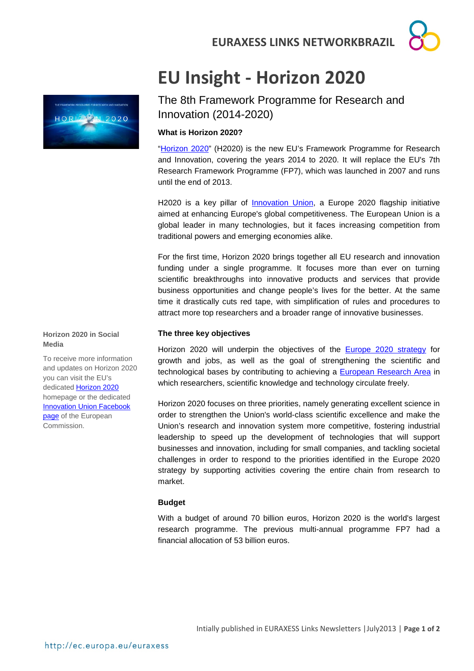**EURAXESS LINKS NETWORKBRAZIL**

# **EU Insight - Horizon 2020**

The 8th Framework Programme for Research and Innovation (2014-2020)

# **What is Horizon 2020?**

["Horizon 2020"](http://ec.europa.eu/research/horizon2020/index_en.cfm) (H2020) is the new EU's Framework Programme for Research and Innovation, covering the years 2014 to 2020. It will replace the EU's 7th Research Framework Programme (FP7), which was launched in 2007 and runs until the end of 2013.

H2020 is a key pillar of *Innovation Union*, a Europe 2020 flagship initiative aimed at enhancing Europe's global competitiveness. The European Union is a global leader in many technologies, but it faces increasing competition from traditional powers and emerging economies alike.

For the first time, Horizon 2020 brings together all EU research and innovation funding under a single programme. It focuses more than ever on turning scientific breakthroughs into innovative products and services that provide business opportunities and change people's lives for the better. At the same time it drastically cuts red tape, with simplification of rules and procedures to attract more top researchers and a broader range of innovative businesses.

## **The three key objectives**

Horizon 2020 will underpin the objectives of the [Europe 2020 strategy](http://ec.europa.eu/europe2020/index_en.htm) for growth and jobs, as well as the goal of strengthening the scientific and technological bases by contributing to achieving a [European Research Area](http://ec.europa.eu/research/era/index_en.htm) in which researchers, scientific knowledge and technology circulate freely.

Horizon 2020 focuses on three priorities, namely generating excellent science in order to strengthen the Union's world-class scientific excellence and make the Union's research and innovation system more competitive, fostering industrial leadership to speed up the development of technologies that will support businesses and innovation, including for small companies, and tackling societal challenges in order to respond to the priorities identified in the Europe 2020 strategy by supporting activities covering the entire chain from research to market.

### **Budget**

With a budget of around 70 billion euros, Horizon 2020 is the world's largest research programme. The previous multi-annual programme FP7 had a financial allocation of 53 billion euros.



HORIZ 3N 2020

To receive more information and updates on Horizon 2020 you can visit the EU's dedicate[d Horizon 2020](http://ec.europa.eu/research/horizon2020/index_en.cfm) homepage or the dedicated [Innovation Union Facebook](https://www.facebook.com/innovation.union)  [page](https://www.facebook.com/innovation.union) of the European Commission.